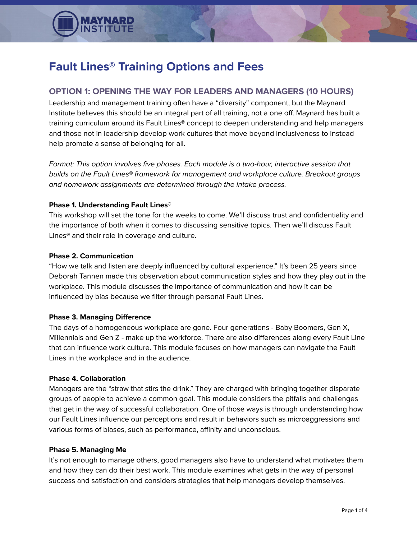

# **Fault Lines® Training Options and Fees**

## **OPTION 1: OPENING THE WAY FOR LEADERS AND MANAGERS (10 HOURS)**

Leadership and management training often have a "diversity" component, but the Maynard Institute believes this should be an integral part of all training, not a one off. Maynard has built a training curriculum around its Fault Lines® concept to deepen understanding and help managers and those not in leadership develop work cultures that move beyond inclusiveness to instead help promote a sense of belonging for all.

Format: This option involves five phases. Each module is a two-hour, interactive session that builds on the Fault Lines® framework for management and workplace culture. Breakout groups and homework assignments are determined through the intake process.

#### **Phase 1. Understanding Fault Lines®**

This workshop will set the tone for the weeks to come. We'll discuss trust and confidentiality and the importance of both when it comes to discussing sensitive topics. Then we'll discuss Fault Lines**®** and their role in coverage and culture.

#### **Phase 2. Communication**

"How we talk and listen are deeply influenced by cultural experience." It's been 25 years since Deborah Tannen made this observation about communication styles and how they play out in the workplace. This module discusses the importance of communication and how it can be influenced by bias because we filter through personal Fault Lines.

#### **Phase 3. Managing Difference**

The days of a homogeneous workplace are gone. Four generations - Baby Boomers, Gen X, Millennials and Gen Z - make up the workforce. There are also differences along every Fault Line that can influence work culture. This module focuses on how managers can navigate the Fault Lines in the workplace and in the audience.

#### **Phase 4. Collaboration**

Managers are the "straw that stirs the drink." They are charged with bringing together disparate groups of people to achieve a common goal. This module considers the pitfalls and challenges that get in the way of successful collaboration. One of those ways is through understanding how our Fault Lines influence our perceptions and result in behaviors such as microaggressions and various forms of biases, such as performance, affinity and unconscious.

#### **Phase 5. Managing Me**

It's not enough to manage others, good managers also have to understand what motivates them and how they can do their best work. This module examines what gets in the way of personal success and satisfaction and considers strategies that help managers develop themselves.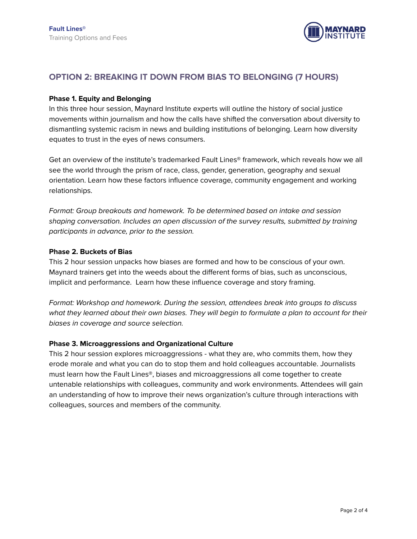

## **OPTION 2: BREAKING IT DOWN FROM BIAS TO BELONGING (7 HOURS)**

#### **Phase 1. Equity and Belonging**

In this three hour session, Maynard Institute experts will outline the history of social justice movements within journalism and how the calls have shifted the conversation about diversity to dismantling systemic racism in news and building institutions of belonging. Learn how diversity equates to trust in the eyes of news consumers.

Get an overview of the institute's trademarked Fault Lines® framework, which reveals how we all see the world through the prism of race, class, gender, generation, geography and sexual orientation. Learn how these factors influence coverage, community engagement and working relationships.

Format: Group breakouts and homework. To be determined based on intake and session shaping conversation. Includes an open discussion of the survey results, submitted by training participants in advance, prior to the session.

#### **Phase 2. Buckets of Bias**

This 2 hour session unpacks how biases are formed and how to be conscious of your own. Maynard trainers get into the weeds about the different forms of bias, such as unconscious, implicit and performance. Learn how these influence coverage and story framing.

Format: Workshop and homework. During the session, attendees break into groups to discuss what they learned about their own biases. They will begin to formulate a plan to account for their biases in coverage and source selection.

#### **Phase 3. Microaggressions and Organizational Culture**

This 2 hour session explores microaggressions - what they are, who commits them, how they erode morale and what you can do to stop them and hold colleagues accountable. Journalists must learn how the Fault Lines®, biases and microaggressions all come together to create untenable relationships with colleagues, community and work environments. Attendees will gain an understanding of how to improve their news organization's culture through interactions with colleagues, sources and members of the community.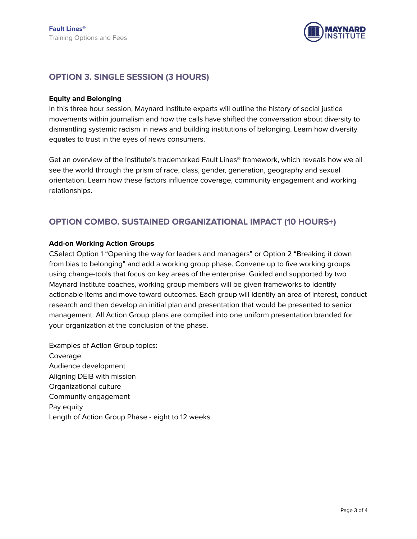

### **OPTION 3. SINGLE SESSION (3 HOURS)**

#### **Equity and Belonging**

In this three hour session, Maynard Institute experts will outline the history of social justice movements within journalism and how the calls have shifted the conversation about diversity to dismantling systemic racism in news and building institutions of belonging. Learn how diversity equates to trust in the eyes of news consumers.

Get an overview of the institute's trademarked Fault Lines® framework, which reveals how we all see the world through the prism of race, class, gender, generation, geography and sexual orientation. Learn how these factors influence coverage, community engagement and working relationships.

## **OPTION COMBO. SUSTAINED ORGANIZATIONAL IMPACT (10 HOURS+)**

#### **Add-on Working Action Groups**

CSelect Option 1 "Opening the way for leaders and managers" or Option 2 "Breaking it down from bias to belonging" and add a working group phase. Convene up to five working groups using change-tools that focus on key areas of the enterprise. Guided and supported by two Maynard Institute coaches, working group members will be given frameworks to identify actionable items and move toward outcomes. Each group will identify an area of interest, conduct research and then develop an initial plan and presentation that would be presented to senior management. All Action Group plans are compiled into one uniform presentation branded for your organization at the conclusion of the phase.

Examples of Action Group topics: Coverage Audience development Aligning DEIB with mission Organizational culture Community engagement Pay equity Length of Action Group Phase - eight to 12 weeks